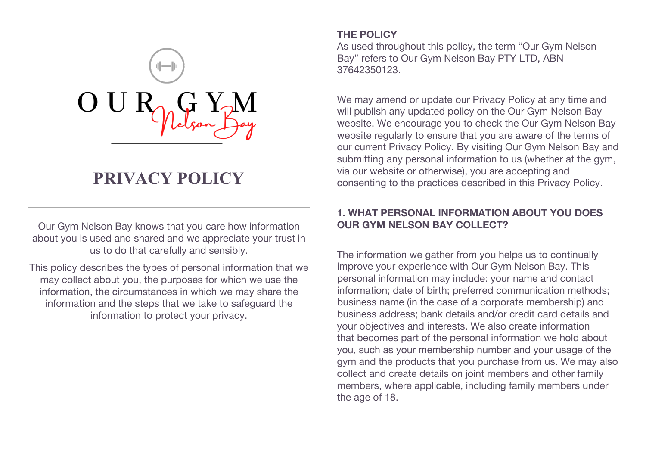

# **PRIVACY POLICY**

Our Gym Nelson Bay knows that you care how information about you is used and shared and we appreciate your trust in us to do that carefully and sensibly.

This policy describes the types of personal information that we may collect about you, the purposes for which we use the information, the circumstances in which we may share the information and the steps that we take to safeguard the information to protect your privacy.

## **THE POLICY**

As used throughout this policy, the term "Our Gym Nelson Bay" refers to Our Gym Nelson Bay PTY LTD, ABN 37642350123.

We may amend or update our Privacy Policy at any time and will publish any updated policy on the Our Gym Nelson Bay website. We encourage you to check the Our Gym Nelson Bay website regularly to ensure that you are aware of the terms of our current Privacy Policy. By visiting Our Gym Nelson Bay and submitting any personal information to us (whether at the gym, via our website or otherwise), you are accepting and consenting to the practices described in this Privacy Policy.

## **1. WHAT PERSONAL INFORMATION ABOUT YOU DOES OUR GYM NELSON BAY COLLECT?**

The information we gather from you helps us to continually improve your experience with Our Gym Nelson Bay. This personal information may include: your name and contact information; date of birth; preferred communication methods; business name (in the case of a corporate membership) and business address; bank details and/or credit card details and your objectives and interests. We also create information that becomes part of the personal information we hold about you, such as your membership number and your usage of the gym and the products that you purchase from us. We may also collect and create details on joint members and other family members, where applicable, including family members under the age of 18.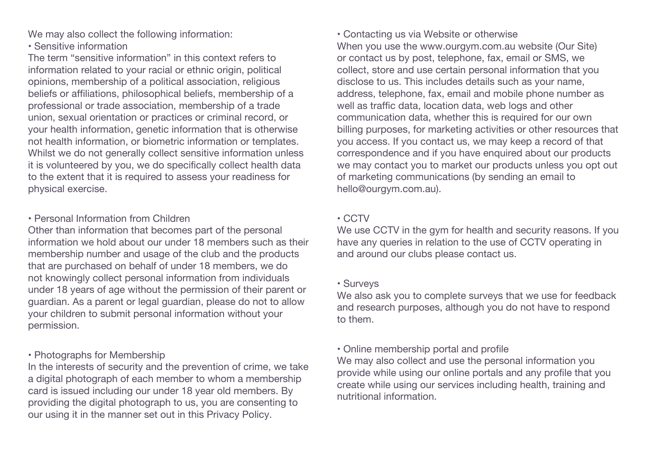We may also collect the following information:

• Sensitive information

The term "sensitive information" in this context refers to information related to your racial or ethnic origin, political opinions, membership of a political association, religious beliefs or affiliations, philosophical beliefs, membership of a professional or trade association, membership of a trade union, sexual orientation or practices or criminal record, or your health information, genetic information that is otherwise not health information, or biometric information or templates. Whilst we do not generally collect sensitive information unless it is volunteered by you, we do specifically collect health data to the extent that it is required to assess your readiness for physical exercise.

#### • Personal Information from Children

Other than information that becomes part of the personal information we hold about our under 18 members such as their membership number and usage of the club and the products that are purchased on behalf of under 18 members, we do not knowingly collect personal information from individuals under 18 years of age without the permission of their parent or guardian. As a parent or legal guardian, please do not to allow your children to submit personal information without your permission.

### • Photographs for Membership

In the interests of security and the prevention of crime, we take a digital photograph of each member to whom a membership card is issued including our under 18 year old members. By providing the digital photograph to us, you are consenting to our using it in the manner set out in this Privacy Policy.

• Contacting us via Website or otherwise

When you use the www.ourgym.com.au website (Our Site) or contact us by post, telephone, fax, email or SMS, we collect, store and use certain personal information that you disclose to us. This includes details such as your name, address, telephone, fax, email and mobile phone number as well as traffic data, location data, web logs and other communication data, whether this is required for our own billing purposes, for marketing activities or other resources that you access. If you contact us, we may keep a record of that correspondence and if you have enquired about our products we may contact you to market our products unless you opt out of marketing communications (by sending an email to hello@ourgym.com.au).

### • CCTV

We use CCTV in the gym for health and security reasons. If you have any queries in relation to the use of CCTV operating in and around our clubs please contact us.

### • Surveys

We also ask you to complete surveys that we use for feedback and research purposes, although you do not have to respond to them.

## • Online membership portal and profile

We may also collect and use the personal information you provide while using our online portals and any profile that you create while using our services including health, training and nutritional information.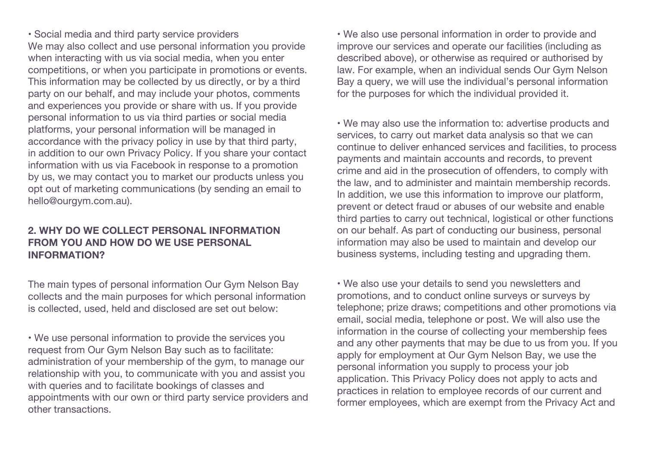• Social media and third party service providers We may also collect and use personal information you provide when interacting with us via social media, when you enter competitions, or when you participate in promotions or events. This information may be collected by us directly, or by a third party on our behalf, and may include your photos, comments and experiences you provide or share with us. If you provide personal information to us via third parties or social media platforms, your personal information will be managed in accordance with the privacy policy in use by that third party, in addition to our own Privacy Policy. If you share your contact information with us via Facebook in response to a promotion by us, we may contact you to market our products unless you opt out of marketing communications (by sending an email to hello@ourgym.com.au).

#### **2. WHY DO WE COLLECT PERSONAL INFORMATION FROM YOU AND HOW DO WE USE PERSONAL INFORMATION?**

The main types of personal information Our Gym Nelson Bay collects and the main purposes for which personal information is collected, used, held and disclosed are set out below:

• We use personal information to provide the services you request from Our Gym Nelson Bay such as to facilitate: administration of your membership of the gym, to manage our relationship with you, to communicate with you and assist you with queries and to facilitate bookings of classes and appointments with our own or third party service providers and other transactions.

• We also use personal information in order to provide and improve our services and operate our facilities (including as described above), or otherwise as required or authorised by law. For example, when an individual sends Our Gym Nelson Bay a query, we will use the individual's personal information for the purposes for which the individual provided it.

• We may also use the information to: advertise products and services, to carry out market data analysis so that we can continue to deliver enhanced services and facilities, to process payments and maintain accounts and records, to prevent crime and aid in the prosecution of offenders, to comply with the law, and to administer and maintain membership records. In addition, we use this information to improve our platform, prevent or detect fraud or abuses of our website and enable third parties to carry out technical, logistical or other functions on our behalf. As part of conducting our business, personal information may also be used to maintain and develop our business systems, including testing and upgrading them.

• We also use your details to send you newsletters and promotions, and to conduct online surveys or surveys by telephone; prize draws; competitions and other promotions via email, social media, telephone or post. We will also use the information in the course of collecting your membership fees and any other payments that may be due to us from you. If you apply for employment at Our Gym Nelson Bay, we use the personal information you supply to process your job application. This Privacy Policy does not apply to acts and practices in relation to employee records of our current and former employees, which are exempt from the Privacy Act and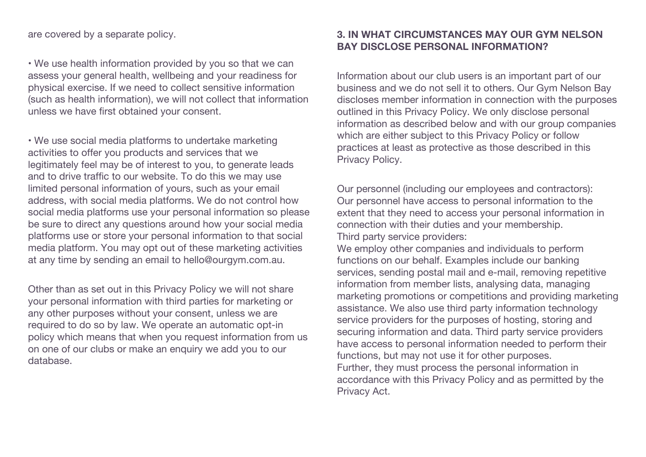are covered by a separate policy.

• We use health information provided by you so that we can assess your general health, wellbeing and your readiness for physical exercise. If we need to collect sensitive information (such as health information), we will not collect that information unless we have first obtained your consent.

• We use social media platforms to undertake marketing activities to offer you products and services that we legitimately feel may be of interest to you, to generate leads and to drive traffic to our website. To do this we may use limited personal information of yours, such as your email address, with social media platforms. We do not control how social media platforms use your personal information so please be sure to direct any questions around how your social media platforms use or store your personal information to that social media platform. You may opt out of these marketing activities at any time by sending an email to hello@ourgym.com.au.

Other than as set out in this Privacy Policy we will not share your personal information with third parties for marketing or any other purposes without your consent, unless we are required to do so by law. We operate an automatic opt-in policy which means that when you request information from us on one of our clubs or make an enquiry we add you to our database.

## **3. IN WHAT CIRCUMSTANCES MAY OUR GYM NELSON BAY DISCLOSE PERSONAL INFORMATION?**

Information about our club users is an important part of our business and we do not sell it to others. Our Gym Nelson Bay discloses member information in connection with the purposes outlined in this Privacy Policy. We only disclose personal information as described below and with our group companies which are either subject to this Privacy Policy or follow practices at least as protective as those described in this Privacy Policy.

Our personnel (including our employees and contractors): Our personnel have access to personal information to the extent that they need to access your personal information in connection with their duties and your membership. Third party service providers:

We employ other companies and individuals to perform functions on our behalf. Examples include our banking services, sending postal mail and e-mail, removing repetitive information from member lists, analysing data, managing marketing promotions or competitions and providing marketing assistance. We also use third party information technology service providers for the purposes of hosting, storing and securing information and data. Third party service providers have access to personal information needed to perform their functions, but may not use it for other purposes. Further, they must process the personal information in accordance with this Privacy Policy and as permitted by the Privacy Act.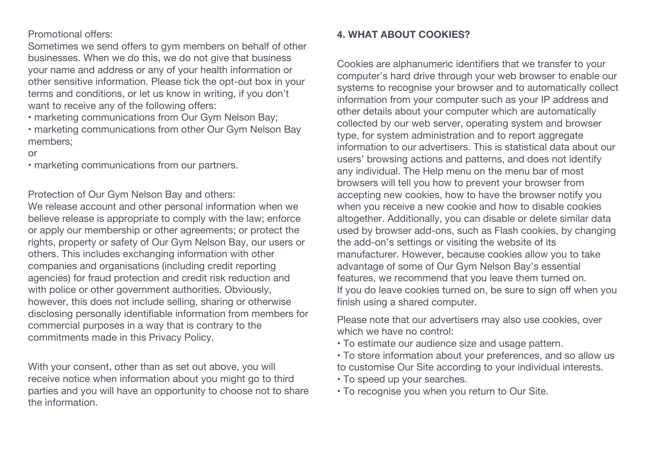Promotional offers:

Sometimes we send offers to gym members on behalf of other businesses. When we do this, we do not give that business your name and address or any of your health information or other sensitive information. Please tick the opt-out box in your terms and conditions, or let us know in writing, if you don't want to receive any of the following offers:

• marketing communications from Our Gym Nelson Bay;

• marketing communications from other Our Gym Nelson Bay members;

#### or

• marketing communications from our partners.

Protection of Our Gym Nelson Bay and others:

We release account and other personal information when we believe release is appropriate to comply with the law; enforce or apply our membership or other agreements; or protect the rights, property or safety of Our Gym Nelson Bay, our users or others. This includes exchanging information with other companies and organisations (including credit reporting agencies) for fraud protection and credit risk reduction and with police or other government authorities. Obviously, however, this does not include selling, sharing or otherwise disclosing personally identifiable information from members for commercial purposes in a way that is contrary to the commitments made in this Privacy Policy.

With your consent, other than as set out above, you will receive notice when information about you might go to third parties and you will have an opportunity to choose not to share the information.

#### **4. WHAT ABOUT COOKIES?**

Cookies are alphanumeric identifiers that we transfer to your computer's hard drive through your web browser to enable our systems to recognise your browser and to automatically collect information from your computer such as your IP address and other details about your computer which are automatically collected by our web server, operating system and browser type, for system administration and to report aggregate information to our advertisers. This is statistical data about our users' browsing actions and patterns, and does not identify any individual. The Help menu on the menu bar of most browsers will tell you how to prevent your browser from accepting new cookies, how to have the browser notify you when you receive a new cookie and how to disable cookies altogether. Additionally, you can disable or delete similar data used by browser add-ons, such as Flash cookies, by changing the add-on's settings or visiting the website of its manufacturer. However, because cookies allow you to take advantage of some of Our Gym Nelson Bay's essential features, we recommend that you leave them turned on. If you do leave cookies turned on, be sure to sign off when you finish using a shared computer.

Please note that our advertisers may also use cookies, over which we have no control:

- To estimate our audience size and usage pattern.
- To store information about your preferences, and so allow us to customise Our Site according to your individual interests.
- To speed up your searches.
- To recognise you when you return to Our Site.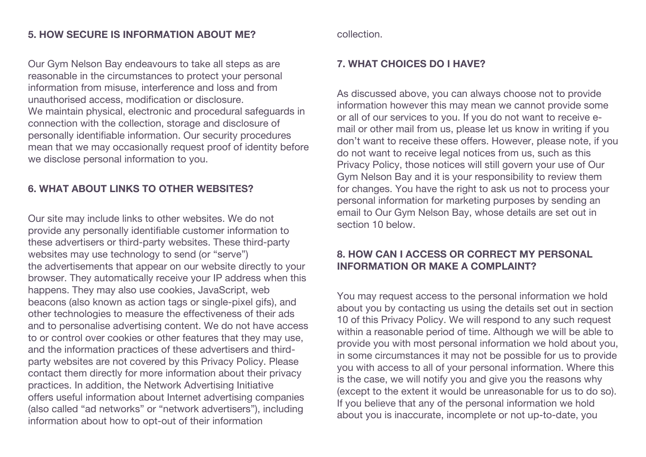Our Gym Nelson Bay endeavours to take all steps as are reasonable in the circumstances to protect your personal information from misuse, interference and loss and from unauthorised access, modification or disclosure. We maintain physical, electronic and procedural safeguards in connection with the collection, storage and disclosure of personally identifiable information. Our security procedures mean that we may occasionally request proof of identity before we disclose personal information to you.

# **6. WHAT ABOUT LINKS TO OTHER WEBSITES?**

Our site may include links to other websites. We do not provide any personally identifiable customer information to these advertisers or third-party websites. These third-party websites may use technology to send (or "serve") the advertisements that appear on our website directly to your browser. They automatically receive your IP address when this happens. They may also use cookies, JavaScript, web beacons (also known as action tags or single-pixel gifs), and other technologies to measure the effectiveness of their ads and to personalise advertising content. We do not have access to or control over cookies or other features that they may use, and the information practices of these advertisers and thirdparty websites are not covered by this Privacy Policy. Please contact them directly for more information about their privacy practices. In addition, the Network Advertising Initiative offers useful information about Internet advertising companies (also called "ad networks" or "network advertisers"), including information about how to opt-out of their information

collection.

#### **7. WHAT CHOICES DO I HAVE?**

As discussed above, you can always choose not to provide information however this may mean we cannot provide some or all of our services to you. If you do not want to receive email or other mail from us, please let us know in writing if you don't want to receive these offers. However, please note, if you do not want to receive legal notices from us, such as this Privacy Policy, those notices will still govern your use of Our Gym Nelson Bay and it is your responsibility to review them for changes. You have the right to ask us not to process your personal information for marketing purposes by sending an email to Our Gym Nelson Bay, whose details are set out in section 10 below.

### **8. HOW CAN I ACCESS OR CORRECT MY PERSONAL INFORMATION OR MAKE A COMPLAINT?**

You may request access to the personal information we hold about you by contacting us using the details set out in section 10 of this Privacy Policy. We will respond to any such request within a reasonable period of time. Although we will be able to provide you with most personal information we hold about you, in some circumstances it may not be possible for us to provide you with access to all of your personal information. Where this is the case, we will notify you and give you the reasons why (except to the extent it would be unreasonable for us to do so). If you believe that any of the personal information we hold about you is inaccurate, incomplete or not up-to-date, you